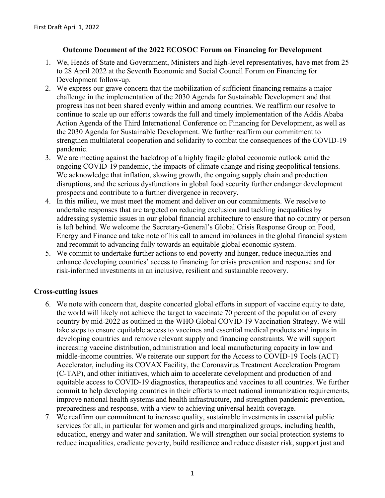## **Outcome Document of the 2022 ECOSOC Forum on Financing for Development**

- 1. We, Heads of State and Government, Ministers and high-level representatives, have met from 25 to 28 April 2022 at the Seventh Economic and Social Council Forum on Financing for Development follow-up.
- 2. We express our grave concern that the mobilization of sufficient financing remains a major challenge in the implementation of the 2030 Agenda for Sustainable Development and that progress has not been shared evenly within and among countries. We reaffirm our resolve to continue to scale up our efforts towards the full and timely implementation of the Addis Ababa Action Agenda of the Third International Conference on Financing for Development, as well as the 2030 Agenda for Sustainable Development. We further reaffirm our commitment to strengthen multilateral cooperation and solidarity to combat the consequences of the COVID-19 pandemic.
- 3. We are meeting against the backdrop of a highly fragile global economic outlook amid the ongoing COVID-19 pandemic, the impacts of climate change and rising geopolitical tensions. We acknowledge that inflation, slowing growth, the ongoing supply chain and production disruptions, and the serious dysfunctions in global food security further endanger development prospects and contribute to a further divergence in recovery.
- 4. In this milieu, we must meet the moment and deliver on our commitments. We resolve to undertake responses that are targeted on reducing exclusion and tackling inequalities by addressing systemic issues in our global financial architecture to ensure that no country or person is left behind. We welcome the Secretary-General's Global Crisis Response Group on Food, Energy and Finance and take note of his call to amend imbalances in the global financial system and recommit to advancing fully towards an equitable global economic system.
- 5. We commit to undertake further actions to end poverty and hunger, reduce inequalities and enhance developing countries' access to financing for crisis prevention and response and for risk-informed investments in an inclusive, resilient and sustainable recovery.

# **Cross-cutting issues**

- 6. We note with concern that, despite concerted global efforts in support of vaccine equity to date, the world will likely not achieve the target to vaccinate 70 percent of the population of every country by mid-2022 as outlined in the WHO Global COVID-19 Vaccination Strategy. We will take steps to ensure equitable access to vaccines and essential medical products and inputs in developing countries and remove relevant supply and financing constraints. We will support increasing vaccine distribution, administration and local manufacturing capacity in low and middle-income countries. We reiterate our support for the Access to COVID-19 Tools (ACT) Accelerator, including its COVAX Facility, the Coronavirus Treatment Acceleration Program (C-TAP), and other initiatives, which aim to accelerate development and production of and equitable access to COVID-19 diagnostics, therapeutics and vaccines to all countries. We further commit to help developing countries in their efforts to meet national immunization requirements, improve national health systems and health infrastructure, and strengthen pandemic prevention, preparedness and response, with a view to achieving universal health coverage.
- 7. We reaffirm our commitment to increase quality, sustainable investments in essential public services for all, in particular for women and girls and marginalized groups, including health, education, energy and water and sanitation. We will strengthen our social protection systems to reduce inequalities, eradicate poverty, build resilience and reduce disaster risk, support just and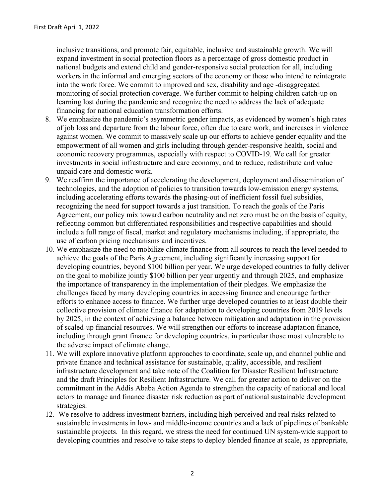inclusive transitions, and promote fair, equitable, inclusive and sustainable growth. We will expand investment in social protection floors as a percentage of gross domestic product in national budgets and extend child and gender-responsive social protection for all, including workers in the informal and emerging sectors of the economy or those who intend to reintegrate into the work force. We commit to improved and sex, disability and age -disaggregated monitoring of social protection coverage. We further commit to helping children catch-up on learning lost during the pandemic and recognize the need to address the lack of adequate financing for national education transformation efforts.

- 8. We emphasize the pandemic's asymmetric gender impacts, as evidenced by women's high rates of job loss and departure from the labour force, often due to care work, and increases in violence against women. We commit to massively scale up our efforts to achieve gender equality and the empowerment of all women and girls including through gender-responsive health, social and economic recovery programmes, especially with respect to COVID-19. We call for greater investments in social infrastructure and care economy, and to reduce, redistribute and value unpaid care and domestic work.
- 9. We reaffirm the importance of accelerating the development, deployment and dissemination of technologies, and the adoption of policies to transition towards low-emission energy systems, including accelerating efforts towards the phasing-out of inefficient fossil fuel subsidies, recognizing the need for support towards a just transition. To reach the goals of the Paris Agreement, our policy mix toward carbon neutrality and net zero must be on the basis of equity, reflecting common but differentiated responsibilities and respective capabilities and should include a full range of fiscal, market and regulatory mechanisms including, if appropriate, the use of carbon pricing mechanisms and incentives.
- 10. We emphasize the need to mobilize climate finance from all sources to reach the level needed to achieve the goals of the Paris Agreement, including significantly increasing support for developing countries, beyond \$100 billion per year. We urge developed countries to fully deliver on the goal to mobilize jointly \$100 billion per year urgently and through 2025, and emphasize the importance of transparency in the implementation of their pledges. We emphasize the challenges faced by many developing countries in accessing finance and encourage further efforts to enhance access to finance. We further urge developed countries to at least double their collective provision of climate finance for adaptation to developing countries from 2019 levels by 2025, in the context of achieving a balance between mitigation and adaptation in the provision of scaled-up financial resources. We will strengthen our efforts to increase adaptation finance, including through grant finance for developing countries, in particular those most vulnerable to the adverse impact of climate change.
- 11. We will explore innovative platform approaches to coordinate, scale up, and channel public and private finance and technical assistance for sustainable, quality, accessible, and resilient infrastructure development and take note of the Coalition for Disaster Resilient Infrastructure and the draft Principles for Resilient Infrastructure. We call for greater action to deliver on the commitment in the Addis Ababa Action Agenda to strengthen the capacity of national and local actors to manage and finance disaster risk reduction as part of national sustainable development strategies.
- 12. We resolve to address investment barriers, including high perceived and real risks related to sustainable investments in low- and middle-income countries and a lack of pipelines of bankable sustainable projects. In this regard, we stress the need for continued UN system-wide support to developing countries and resolve to take steps to deploy blended finance at scale, as appropriate,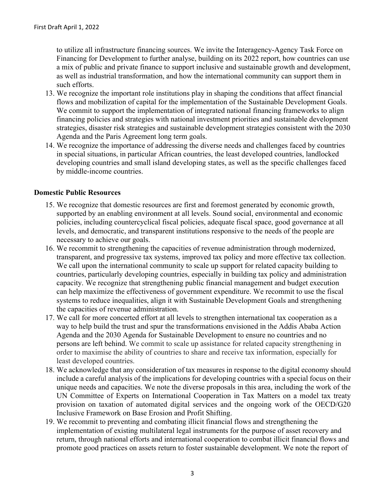to utilize all infrastructure financing sources. We invite the Interagency-Agency Task Force on Financing for Development to further analyse, building on its 2022 report, how countries can use a mix of public and private finance to support inclusive and sustainable growth and development, as well as industrial transformation, and how the international community can support them in such efforts.

- 13. We recognize the important role institutions play in shaping the conditions that affect financial flows and mobilization of capital for the implementation of the Sustainable Development Goals. We commit to support the implementation of integrated national financing frameworks to align financing policies and strategies with national investment priorities and sustainable development strategies, disaster risk strategies and sustainable development strategies consistent with the 2030 Agenda and the Paris Agreement long term goals.
- 14. We recognize the importance of addressing the diverse needs and challenges faced by countries in special situations, in particular African countries, the least developed countries, landlocked developing countries and small island developing states, as well as the specific challenges faced by middle-income countries.

### **Domestic Public Resources**

- 15. We recognize that domestic resources are first and foremost generated by economic growth, supported by an enabling environment at all levels. Sound social, environmental and economic policies, including countercyclical fiscal policies, adequate fiscal space, good governance at all levels, and democratic, and transparent institutions responsive to the needs of the people are necessary to achieve our goals.
- 16. We recommit to strengthening the capacities of revenue administration through modernized, transparent, and progressive tax systems, improved tax policy and more effective tax collection. We call upon the international community to scale up support for related capacity building to countries, particularly developing countries, especially in building tax policy and administration capacity. We recognize that strengthening public financial management and budget execution can help maximize the effectiveness of government expenditure. We recommit to use the fiscal systems to reduce inequalities, align it with Sustainable Development Goals and strengthening the capacities of revenue administration.
- 17. We call for more concerted effort at all levels to strengthen international tax cooperation as a way to help build the trust and spur the transformations envisioned in the Addis Ababa Action Agenda and the 2030 Agenda for Sustainable Development to ensure no countries and no persons are left behind. We commit to scale up assistance for related capacity strengthening in order to maximise the ability of countries to share and receive tax information, especially for least developed countries.
- 18. We acknowledge that any consideration of tax measures in response to the digital economy should include a careful analysis of the implications for developing countries with a special focus on their unique needs and capacities. We note the diverse proposals in this area, including the work of the UN Committee of Experts on International Cooperation in Tax Matters on a model tax treaty provision on taxation of automated digital services and the ongoing work of the OECD/G20 Inclusive Framework on Base Erosion and Profit Shifting.
- 19. We recommit to preventing and combating illicit financial flows and strengthening the implementation of existing multilateral legal instruments for the purpose of asset recovery and return, through national efforts and international cooperation to combat illicit financial flows and promote good practices on assets return to foster sustainable development. We note the report of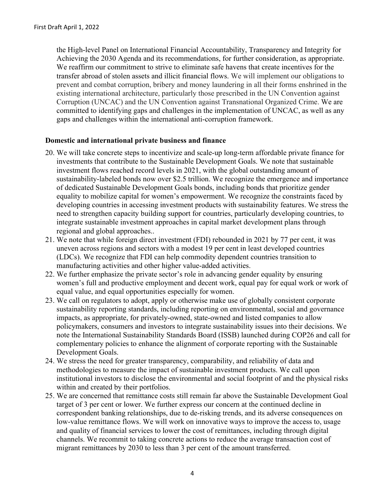the High-level Panel on International Financial Accountability, Transparency and Integrity for Achieving the 2030 Agenda and its recommendations, for further consideration, as appropriate. We reaffirm our commitment to strive to eliminate safe havens that create incentives for the transfer abroad of stolen assets and illicit financial flows. We will implement our obligations to prevent and combat corruption, bribery and money laundering in all their forms enshrined in the existing international architecture, particularly those prescribed in the UN Convention against Corruption (UNCAC) and the UN Convention against Transnational Organized Crime. We are committed to identifying gaps and challenges in the implementation of UNCAC, as well as any gaps and challenges within the international anti-corruption framework.

### **Domestic and international private business and finance**

- 20. We will take concrete steps to incentivize and scale-up long-term affordable private finance for investments that contribute to the Sustainable Development Goals. We note that sustainable investment flows reached record levels in 2021, with the global outstanding amount of sustainability-labeled bonds now over \$2.5 trillion. We recognize the emergence and importance of dedicated Sustainable Development Goals bonds, including bonds that prioritize gender equality to mobilize capital for women's empowerment. We recognize the constraints faced by developing countries in accessing investment products with sustainability features. We stress the need to strengthen capacity building support for countries, particularly developing countries, to integrate sustainable investment approaches in capital market development plans through regional and global approaches..
- 21. We note that while foreign direct investment (FDI) rebounded in 2021 by 77 per cent, it was uneven across regions and sectors with a modest 19 per cent in least developed countries (LDCs). We recognize that FDI can help commodity dependent countries transition to manufacturing activities and other higher value-added activities.
- 22. We further emphasize the private sector's role in advancing gender equality by ensuring women's full and productive employment and decent work, equal pay for equal work or work of equal value, and equal opportunities especially for women.
- 23. We call on regulators to adopt, apply or otherwise make use of globally consistent corporate sustainability reporting standards, including reporting on environmental, social and governance impacts, as appropriate, for privately-owned, state-owned and listed companies to allow policymakers, consumers and investors to integrate sustainability issues into their decisions. We note the International Sustainability Standards Board (ISSB) launched during COP26 and call for complementary policies to enhance the alignment of corporate reporting with the Sustainable Development Goals.
- 24. We stress the need for greater transparency, comparability, and reliability of data and methodologies to measure the impact of sustainable investment products. We call upon institutional investors to disclose the environmental and social footprint of and the physical risks within and created by their portfolios.
- 25. We are concerned that remittance costs still remain far above the Sustainable Development Goal target of 3 per cent or lower. We further express our concern at the continued decline in correspondent banking relationships, due to de-risking trends, and its adverse consequences on low-value remittance flows. We will work on innovative ways to improve the access to, usage and quality of financial services to lower the cost of remittances, including through digital channels. We recommit to taking concrete actions to reduce the average transaction cost of migrant remittances by 2030 to less than 3 per cent of the amount transferred.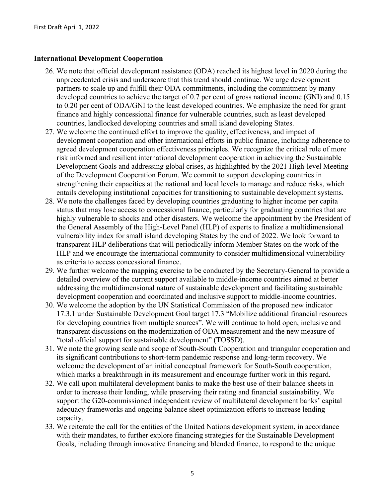### **International Development Cooperation**

- 26. We note that official development assistance (ODA) reached its highest level in 2020 during the unprecedented crisis and underscore that this trend should continue. We urge development partners to scale up and fulfill their ODA commitments, including the commitment by many developed countries to achieve the target of 0.7 per cent of gross national income (GNI) and 0.15 to 0.20 per cent of ODA/GNI to the least developed countries. We emphasize the need for grant finance and highly concessional finance for vulnerable countries, such as least developed countries, landlocked developing countries and small island developing States.
- 27. We welcome the continued effort to improve the quality, effectiveness, and impact of development cooperation and other international efforts in public finance, including adherence to agreed development cooperation effectiveness principles. We recognize the critical role of more risk informed and resilient international development cooperation in achieving the Sustainable Development Goals and addressing global crises, as highlighted by the 2021 High-level Meeting of the Development Cooperation Forum. We commit to support developing countries in strengthening their capacities at the national and local levels to manage and reduce risks, which entails developing institutional capacities for transitioning to sustainable development systems.
- 28. We note the challenges faced by developing countries graduating to higher income per capita status that may lose access to concessional finance, particularly for graduating countries that are highly vulnerable to shocks and other disasters. We welcome the appointment by the President of the General Assembly of the High-Level Panel (HLP) of experts to finalize a multidimensional vulnerability index for small island developing States by the end of 2022. We look forward to transparent HLP deliberations that will periodically inform Member States on the work of the HLP and we encourage the international community to consider multidimensional vulnerability as criteria to access concessional finance.
- 29. We further welcome the mapping exercise to be conducted by the Secretary-General to provide a detailed overview of the current support available to middle-income countries aimed at better addressing the multidimensional nature of sustainable development and facilitating sustainable development cooperation and coordinated and inclusive support to middle-income countries.
- 30. We welcome the adoption by the UN Statistical Commission of the proposed new indicator 17.3.1 under Sustainable Development Goal target 17.3 "Mobilize additional financial resources for developing countries from multiple sources". We will continue to hold open, inclusive and transparent discussions on the modernization of ODA measurement and the new measure of "total official support for sustainable development" (TOSSD).
- 31. We note the growing scale and scope of South-South Cooperation and triangular cooperation and its significant contributions to short-term pandemic response and long-term recovery. We welcome the development of an initial conceptual framework for South-South cooperation, which marks a breakthrough in its measurement and encourage further work in this regard.
- 32. We call upon multilateral development banks to make the best use of their balance sheets in order to increase their lending, while preserving their rating and financial sustainability. We support the G20-commissioned independent review of multilateral development banks' capital adequacy frameworks and ongoing balance sheet optimization efforts to increase lending capacity.
- 33. We reiterate the call for the entities of the United Nations development system, in accordance with their mandates, to further explore financing strategies for the Sustainable Development Goals, including through innovative financing and blended finance, to respond to the unique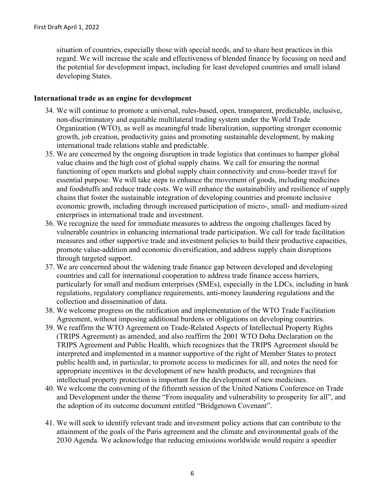situation of countries, especially those with special needs, and to share best practices in this regard. We will increase the scale and effectiveness of blended finance by focusing on need and the potential for development impact, including for least developed countries and small island developing States.

#### **International trade as an engine for development**

- 34. We will continue to promote a universal, rules-based, open, transparent, predictable, inclusive, non-discriminatory and equitable multilateral trading system under the World Trade Organization (WTO), as well as meaningful trade liberalization, supporting stronger economic growth, job creation, productivity gains and promoting sustainable development, by making international trade relations stable and predictable.
- 35. We are concerned by the ongoing disruption in trade logistics that continues to hamper global value chains and the high cost of global supply chains. We call for ensuring the normal functioning of open markets and global supply chain connectivity and cross-border travel for essential purpose. We will take steps to enhance the movement of goods, including medicines and foodstuffs and reduce trade costs. We will enhance the sustainability and resilience of supply chains that foster the sustainable integration of developing countries and promote inclusive economic growth, including through increased participation of micro-, small- and medium-sized enterprises in international trade and investment.
- 36. We recognize the need for immediate measures to address the ongoing challenges faced by vulnerable countries in enhancing international trade participation. We call for trade facilitation measures and other supportive trade and investment policies to build their productive capacities, promote value-addition and economic diversification, and address supply chain disruptions through targeted support.
- 37. We are concerned about the widening trade finance gap between developed and developing countries and call for international cooperation to address trade finance access barriers, particularly for small and medium enterprises (SMEs), especially in the LDCs, including in bank regulations, regulatory compliance requirements, anti-money laundering regulations and the collection and dissemination of data.
- 38. We welcome progress on the ratification and implementation of the WTO Trade Facilitation Agreement, without imposing additional burdens or obligations on developing countries.
- 39. We reaffirm the WTO Agreement on Trade-Related Aspects of Intellectual Property Rights (TRIPS Agreement) as amended, and also reaffirm the 2001 WTO Doha Declaration on the TRIPS Agreement and Public Health, which recognizes that the TRIPS Agreement should be interpreted and implemented in a manner supportive of the right of Member States to protect public health and, in particular, to promote access to medicines for all, and notes the need for appropriate incentives in the development of new health products, and recognizes that intellectual property protection is important for the development of new medicines.
- 40. We welcome the convening of the fifteenth session of the United Nations Conference on Trade and Development under the theme "From inequality and vulnerability to prosperity for all", and the adoption of its outcome document entitled "Bridgetown Covenant".
- 41. We will seek to identify relevant trade and investment policy actions that can contribute to the attainment of the goals of the Paris agreement and the climate and environmental goals of the 2030 Agenda. We acknowledge that reducing emissions worldwide would require a speedier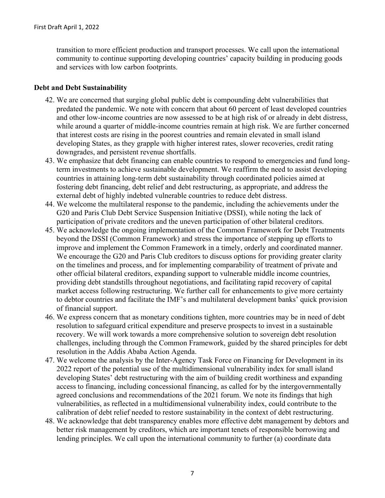transition to more efficient production and transport processes. We call upon the international community to continue supporting developing countries' capacity building in producing goods and services with low carbon footprints.

### **Debt and Debt Sustainability**

- 42. We are concerned that surging global public debt is compounding debt vulnerabilities that predated the pandemic. We note with concern that about 60 percent of least developed countries and other low-income countries are now assessed to be at high risk of or already in debt distress, while around a quarter of middle-income countries remain at high risk. We are further concerned that interest costs are rising in the poorest countries and remain elevated in small island developing States, as they grapple with higher interest rates, slower recoveries, credit rating downgrades, and persistent revenue shortfalls.
- 43. We emphasize that debt financing can enable countries to respond to emergencies and fund longterm investments to achieve sustainable development. We reaffirm the need to assist developing countries in attaining long-term debt sustainability through coordinated policies aimed at fostering debt financing, debt relief and debt restructuring, as appropriate, and address the external debt of highly indebted vulnerable countries to reduce debt distress.
- 44. We welcome the multilateral response to the pandemic, including the achievements under the G20 and Paris Club Debt Service Suspension Initiative (DSSI), while noting the lack of participation of private creditors and the uneven participation of other bilateral creditors.
- 45. We acknowledge the ongoing implementation of the Common Framework for Debt Treatments beyond the DSSI (Common Framework) and stress the importance of stepping up efforts to improve and implement the Common Framework in a timely, orderly and coordinated manner. We encourage the G20 and Paris Club creditors to discuss options for providing greater clarity on the timelines and process, and for implementing comparability of treatment of private and other official bilateral creditors, expanding support to vulnerable middle income countries, providing debt standstills throughout negotiations, and facilitating rapid recovery of capital market access following restructuring. We further call for enhancements to give more certainty to debtor countries and facilitate the IMF's and multilateral development banks' quick provision of financial support.
- 46. We express concern that as monetary conditions tighten, more countries may be in need of debt resolution to safeguard critical expenditure and preserve prospects to invest in a sustainable recovery. We will work towards a more comprehensive solution to sovereign debt resolution challenges, including through the Common Framework, guided by the shared principles for debt resolution in the Addis Ababa Action Agenda.
- 47. We welcome the analysis by the Inter-Agency Task Force on Financing for Development in its 2022 report of the potential use of the multidimensional vulnerability index for small island developing States' debt restructuring with the aim of building credit worthiness and expanding access to financing, including concessional financing, as called for by the intergovernmentally agreed conclusions and recommendations of the 2021 forum. We note its findings that high vulnerabilities, as reflected in a multidimensional vulnerability index, could contribute to the calibration of debt relief needed to restore sustainability in the context of debt restructuring.
- 48. We acknowledge that debt transparency enables more effective debt management by debtors and better risk management by creditors, which are important tenets of responsible borrowing and lending principles. We call upon the international community to further (a) coordinate data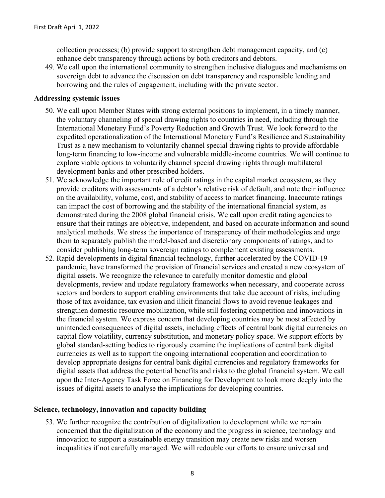collection processes; (b) provide support to strengthen debt management capacity, and (c) enhance debt transparency through actions by both creditors and debtors.

49. We call upon the international community to strengthen inclusive dialogues and mechanisms on sovereign debt to advance the discussion on debt transparency and responsible lending and borrowing and the rules of engagement, including with the private sector.

#### **Addressing systemic issues**

- 50. We call upon Member States with strong external positions to implement, in a timely manner, the voluntary channeling of special drawing rights to countries in need, including through the International Monetary Fund's Poverty Reduction and Growth Trust. We look forward to the expedited operationalization of the International Monetary Fund's Resilience and Sustainability Trust as a new mechanism to voluntarily channel special drawing rights to provide affordable long-term financing to low-income and vulnerable middle-income countries. We will continue to explore viable options to voluntarily channel special drawing rights through multilateral development banks and other prescribed holders.
- 51. We acknowledge the important role of credit ratings in the capital market ecosystem, as they provide creditors with assessments of a debtor's relative risk of default, and note their influence on the availability, volume, cost, and stability of access to market financing. Inaccurate ratings can impact the cost of borrowing and the stability of the international financial system, as demonstrated during the 2008 global financial crisis. We call upon credit rating agencies to ensure that their ratings are objective, independent, and based on accurate information and sound analytical methods. We stress the importance of transparency of their methodologies and urge them to separately publish the model-based and discretionary components of ratings, and to consider publishing long-term sovereign ratings to complement existing assessments.
- 52. Rapid developments in digital financial technology, further accelerated by the COVID-19 pandemic, have transformed the provision of financial services and created a new ecosystem of digital assets. We recognize the relevance to carefully monitor domestic and global developments, review and update regulatory frameworks when necessary, and cooperate across sectors and borders to support enabling environments that take due account of risks, including those of tax avoidance, tax evasion and illicit financial flows to avoid revenue leakages and strengthen domestic resource mobilization, while still fostering competition and innovations in the financial system. We express concern that developing countries may be most affected by unintended consequences of digital assets, including effects of central bank digital currencies on capital flow volatility, currency substitution, and monetary policy space. We support efforts by global standard-setting bodies to rigorously examine the implications of central bank digital currencies as well as to support the ongoing international cooperation and coordination to develop appropriate designs for central bank digital currencies and regulatory frameworks for digital assets that address the potential benefits and risks to the global financial system. We call upon the Inter-Agency Task Force on Financing for Development to look more deeply into the issues of digital assets to analyse the implications for developing countries.

### **Science, technology, innovation and capacity building**

53. We further recognize the contribution of digitalization to development while we remain concerned that the digitalization of the economy and the progress in science, technology and innovation to support a sustainable energy transition may create new risks and worsen inequalities if not carefully managed. We will redouble our efforts to ensure universal and